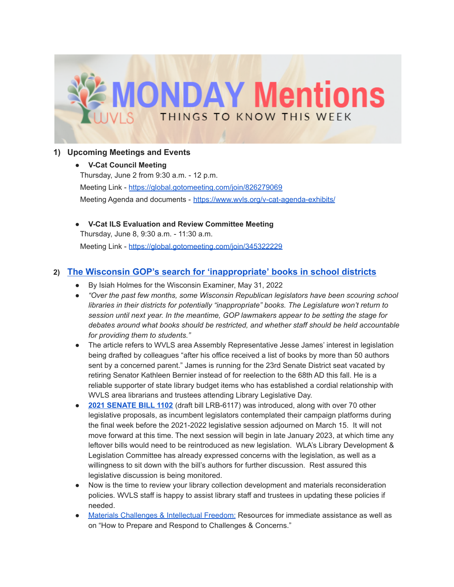

## **1) Upcoming Meetings and Events**

**● V-Cat Council Meeting** Thursday, June 2 from 9:30 a.m. - 12 p.m. Meeting Link - <https://global.gotomeeting.com/join/826279069> Meeting Agenda and documents - <https://www.wvls.org/v-cat-agenda-exhibits/>

**● V-Cat ILS Evaluation and Review Committee Meeting** Thursday, June 8, 9:30 a.m. - 11:30 a.m. Meeting Link - <https://global.gotomeeting.com/join/345322229>

## **2) [The Wisconsin GOP's search for 'inappropriate'](https://wisconsinexaminer.com/2022/05/31/the-wisconsin-gops-search-for-inappropriate-books-in-school-districts/?eType=EmailBlastContent&eId=6c464246-593c-4bdd-9330-924e0c05ae19) books in school districts**

- By Isiah Holmes for the Wisconsin Examiner, May 31, 2022
- *"Over the past few months, some Wisconsin Republican legislators have been scouring school libraries in their districts for potentially "inappropriate" books. The Legislature won't return to session until next year. In the meantime, GOP lawmakers appear to be setting the stage for debates around what books should be restricted, and whether staff should be held accountable for providing them to students."*
- The article refers to WVLS area Assembly Representative Jesse James' interest in legislation being drafted by colleagues "after his office received a list of books by more than 50 authors sent by a concerned parent." James is running for the 23rd Senate District seat vacated by retiring Senator Kathleen Bernier instead of for reelection to the 68th AD this fall. He is a reliable supporter of state library budget items who has established a cordial relationship with WVLS area librarians and trustees attending Library Legislative Day.
- **2021 [SENATE](https://docs.legis.wisconsin.gov/document/session/2021/REG/SB1102) BILL 1102** (draft bill LRB-6117) was introduced, along with over 70 other legislative proposals, as incumbent legislators contemplated their campaign platforms during the final week before the 2021-2022 legislative session adjourned on March 15. It will not move forward at this time. The next session will begin in late January 2023, at which time any leftover bills would need to be reintroduced as new legislation. WLA's Library Development & Legislation Committee has already expressed concerns with the legislation, as well as a willingness to sit down with the bill's authors for further discussion. Rest assured this legislative discussion is being monitored.
- Now is the time to review your library collection development and materials reconsideration policies. WVLS staff is happy to assist library staff and trustees in updating these policies if needed.
- Materials [Challenges](https://wvls.org/materials-challenges-intellectual-freedom/) & Intellectual Freedom: Resources for immediate assistance as well as on "How to Prepare and Respond to Challenges & Concerns."